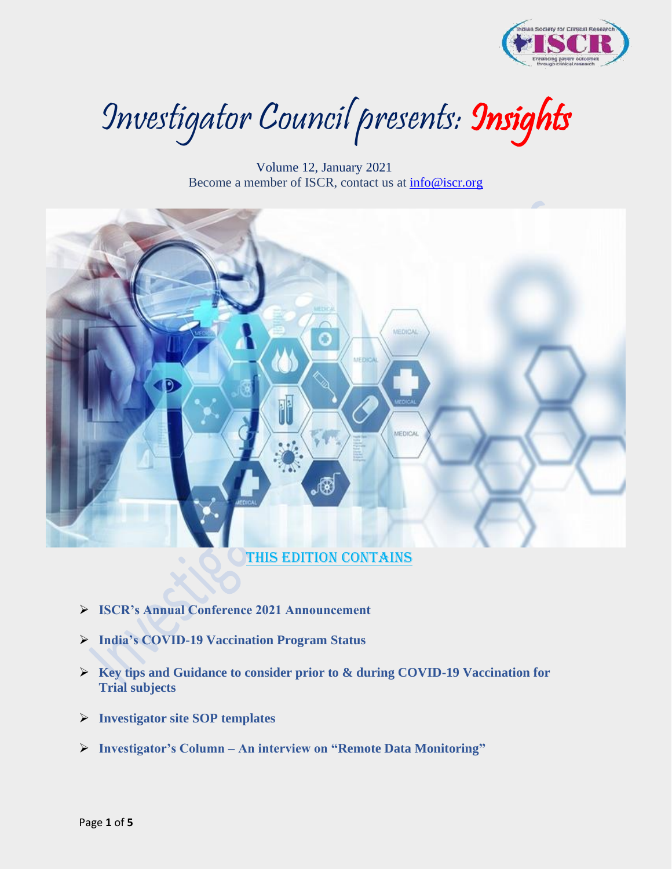

Investigator Council presents: Insights

 Volume 12, January 2021 Become a member of ISCR, contact us at [info@iscr.org](mailto:info@iscr.org) 



### This edition contains

- ➢ **ISCR's Annual Conference 2021 Announcement**
- ➢ **India's COVID-19 Vaccination Program Status**
- ➢ **Key tips and Guidance to consider prior to & during COVID-19 Vaccination for Trial subjects**
- ➢ **Investigator site SOP templates**
- ➢ **Investigator's Column – An interview on "Remote Data Monitoring"**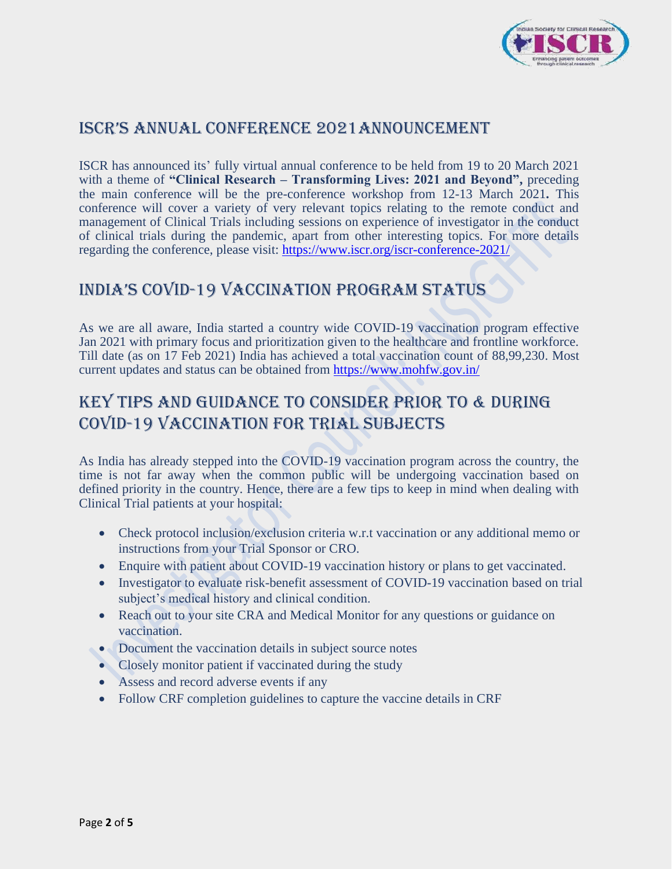

# ISCR's Annual Conference 2021Announcement

ISCR has announced its' fully virtual annual conference to be held from 19 to 20 March 2021 with a theme of **"Clinical Research – Transforming Lives: 2021 and Beyond",** preceding the main conference will be the pre-conference workshop from 12-13 March 2021**.** This conference will cover a variety of very relevant topics relating to the remote conduct and management of Clinical Trials including sessions on experience of investigator in the conduct of clinical trials during the pandemic, apart from other interesting topics. For more details regarding the conference, please visit:<https://www.iscr.org/iscr-conference-2021/>

# IndIa's COVId-19 Vaccination Program Status

As we are all aware, India started a country wide COVID-19 vaccination program effective Jan 2021 with primary focus and prioritization given to the healthcare and frontline workforce. Till date (as on 17 Feb 2021) India has achieved a total vaccination count of 88,99,230. Most current updates and status can be obtained from<https://www.mohfw.gov.in/>

# Key tips and Guidance to consider prior to & during COVID-19 Vaccination for Trial subjects

As India has already stepped into the COVID-19 vaccination program across the country, the time is not far away when the common public will be undergoing vaccination based on defined priority in the country. Hence, there are a few tips to keep in mind when dealing with Clinical Trial patients at your hospital:

- Check protocol inclusion/exclusion criteria w.r.t vaccination or any additional memo or instructions from your Trial Sponsor or CRO.
- Enquire with patient about COVID-19 vaccination history or plans to get vaccinated.
- Investigator to evaluate risk-benefit assessment of COVID-19 vaccination based on trial subject's medical history and clinical condition.
- Reach out to your site CRA and Medical Monitor for any questions or guidance on vaccination.
- Document the vaccination details in subject source notes
- Closely monitor patient if vaccinated during the study
- Assess and record adverse events if any
- Follow CRF completion guidelines to capture the vaccine details in CRF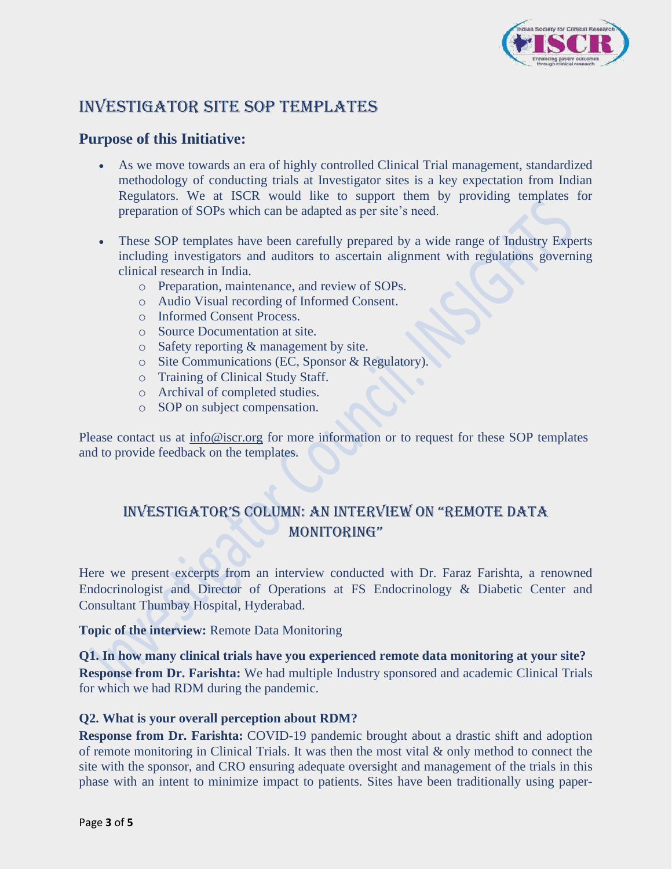

# INVESTIGATOR SITE SOP TEMPLATES

### **Purpose of this Initiative:**

- As we move towards an era of highly controlled Clinical Trial management, standardized methodology of conducting trials at Investigator sites is a key expectation from Indian Regulators. We at ISCR would like to support them by providing templates for preparation of SOPs which can be adapted as per site's need.
- These SOP templates have been carefully prepared by a wide range of Industry Experts including investigators and auditors to ascertain alignment with regulations governing clinical research in India.
	- o Preparation, maintenance, and review of SOPs.
	- o Audio Visual recording of Informed Consent.
	- o Informed Consent Process.
	- o Source Documentation at site.
	- o Safety reporting & management by site.
	- o Site Communications (EC, Sponsor & Regulatory).
	- o Training of Clinical Study Staff.
	- o Archival of completed studies.
	- o SOP on subject compensation.

Please contact us at [info@iscr.org](mailto:info@iscr.org) for more information or to request for these SOP templates and to provide feedback on the templates.

## InVestIgatOR's Column: An Interview on "Remote Data MONITORING"

Here we present excerpts from an interview conducted with Dr. Faraz Farishta, a renowned Endocrinologist and Director of Operations at FS Endocrinology & Diabetic Center and Consultant Thumbay Hospital, Hyderabad.

**Topic of the interview:** Remote Data Monitoring

**Q1. In how many clinical trials have you experienced remote data monitoring at your site? Response from Dr. Farishta:** We had multiple Industry sponsored and academic Clinical Trials for which we had RDM during the pandemic.

### **Q2. What is your overall perception about RDM?**

**Response from Dr. Farishta:** COVID-19 pandemic brought about a drastic shift and adoption of remote monitoring in Clinical Trials. It was then the most vital & only method to connect the site with the sponsor, and CRO ensuring adequate oversight and management of the trials in this phase with an intent to minimize impact to patients. Sites have been traditionally using paper-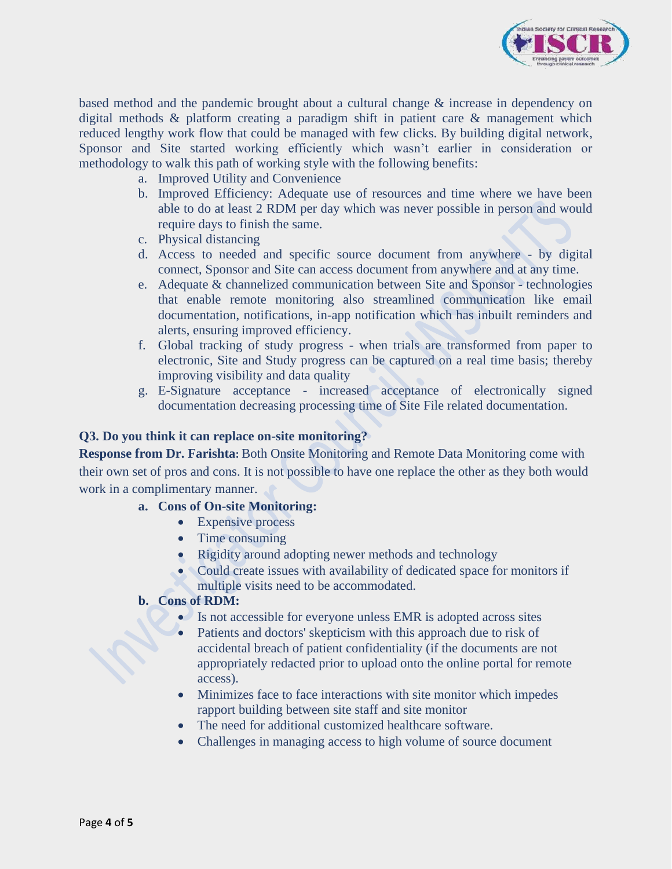

based method and the pandemic brought about a cultural change & increase in dependency on digital methods & platform creating a paradigm shift in patient care & management which reduced lengthy work flow that could be managed with few clicks. By building digital network, Sponsor and Site started working efficiently which wasn't earlier in consideration or methodology to walk this path of working style with the following benefits:

- a. Improved Utility and Convenience
- b. Improved Efficiency: Adequate use of resources and time where we have been able to do at least 2 RDM per day which was never possible in person and would require days to finish the same.
- c. Physical distancing
- d. Access to needed and specific source document from anywhere by digital connect, Sponsor and Site can access document from anywhere and at any time.
- e. Adequate & channelized communication between Site and Sponsor technologies that enable remote monitoring also streamlined communication like email documentation, notifications, in-app notification which has inbuilt reminders and alerts, ensuring improved efficiency.
- f. Global tracking of study progress when trials are transformed from paper to electronic, Site and Study progress can be captured on a real time basis; thereby improving visibility and data quality
- g. E-Signature acceptance increased acceptance of electronically signed documentation decreasing processing time of Site File related documentation.

#### **Q3. Do you think it can replace on-site monitoring?**

**Response from Dr. Farishta:** Both Onsite Monitoring and Remote Data Monitoring come with their own set of pros and cons. It is not possible to have one replace the other as they both would work in a complimentary manner.

#### **a. Cons of On-site Monitoring:**

- Expensive process
- Time consuming
- Rigidity around adopting newer methods and technology
- Could create issues with availability of dedicated space for monitors if multiple visits need to be accommodated.

#### **b. Cons of RDM:**

- Is not accessible for everyone unless EMR is adopted across sites
- Patients and doctors' skepticism with this approach due to risk of accidental breach of patient confidentiality (if the documents are not appropriately redacted prior to upload onto the online portal for remote access).
- Minimizes face to face interactions with site monitor which impedes rapport building between site staff and site monitor
- The need for additional customized healthcare software.
- Challenges in managing access to high volume of source document